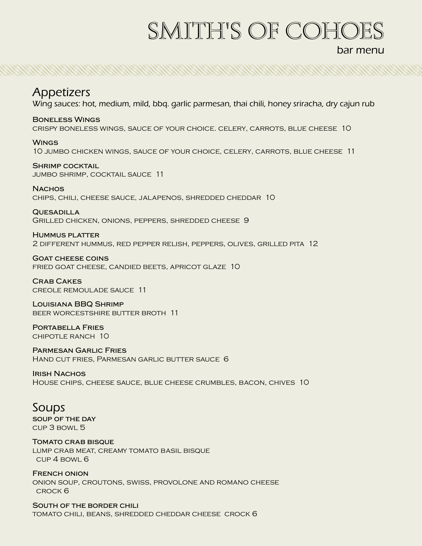# smith's Of cohoes

bar menu

NAN SAN BERTAHAN SERIAN SERIAN SERIAN SERIAN SERIAN SERIAN SERIAN SERIAN SERIAN SERIAN SERIAN SERIAN SERIAN SE

## Appetizers

Wing sauces: hot, medium, mild, bbq. garlic parmesan, thai chili, honey sriracha, dry cajun rub

**Boneless Wings** crispy boneless wings, sauce of your choice. celery, carrots, blue cheese 10

**Wings** 10 jumbo chicken wings, sauce of your choice, celery, carrots, blue cheese 11

**Shrimp cocktail** jumbo shrimp, cocktail sauce 11

**Nachos** chips, chili, cheese sauce, jalapenos, shredded cheddar 10

**Quesadilla** Grilled chicken, onions, peppers, shredded cheese 9

**Hummus platter** 2 different hummus, red pepper relish, peppers, olives, grilled pita 12

**Goat cheese coins** fried goat cheese, candied beets, apricot glaze 10

**Crab Cakes** creole remoulade sauce 11

**Louisiana BBQ Shrimp** beer worcestshire butter broth 11

**Portabella Fries** chipotle ranch 10

**Parmesan Garlic Fries** Hand cut fries, Parmesan garlic butter sauce 6

#### **Irish Nachos**

House chips, cheese sauce, blue cheese crumbles, bacon, chives 10

### Soups

**soup of the day** cup 3 bowl 5

**Tomato crab bisque**

lump crab meat, creamy tomato basil bisque cup 4 bowl 6

**French onion** onion soup, croutons, swiss, provolone and romano cheese crock 6

**South of the border chili** tomato chili, beans, shredded cheddar cheese crock 6